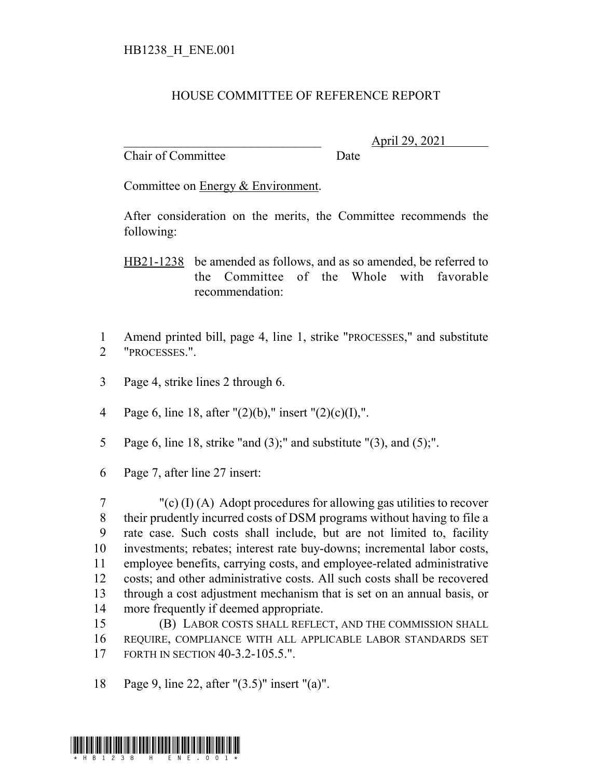## HOUSE COMMITTEE OF REFERENCE REPORT

Chair of Committee Date

\_\_\_\_\_\_\_\_\_\_\_\_\_\_\_\_\_\_\_\_\_\_\_\_\_\_\_\_\_\_\_ April 29, 2021

Committee on Energy & Environment.

After consideration on the merits, the Committee recommends the following:

HB21-1238 be amended as follows, and as so amended, be referred to the Committee of the Whole with favorable recommendation:

- 1 Amend printed bill, page 4, line 1, strike "PROCESSES," and substitute 2 "PROCESSES.".
- 3 Page 4, strike lines 2 through 6.
- 4 Page 6, line 18, after  $''(2)(b)$ ," insert  $''(2)(c)(I)$ ,".
- 5 Page 6, line 18, strike "and (3);" and substitute "(3), and (5);".
- 6 Page 7, after line 27 insert:

 "(c) (I) (A) Adopt procedures for allowing gas utilities to recover their prudently incurred costs of DSM programs without having to file a rate case. Such costs shall include, but are not limited to, facility investments; rebates; interest rate buy-downs; incremental labor costs, employee benefits, carrying costs, and employee-related administrative costs; and other administrative costs. All such costs shall be recovered through a cost adjustment mechanism that is set on an annual basis, or more frequently if deemed appropriate.

15 (B) LABOR COSTS SHALL REFLECT, AND THE COMMISSION SHALL 16 REQUIRE, COMPLIANCE WITH ALL APPLICABLE LABOR STANDARDS SET 17 FORTH IN SECTION 40-3.2-105.5.".

18 Page 9, line 22, after "(3.5)" insert "(a)".

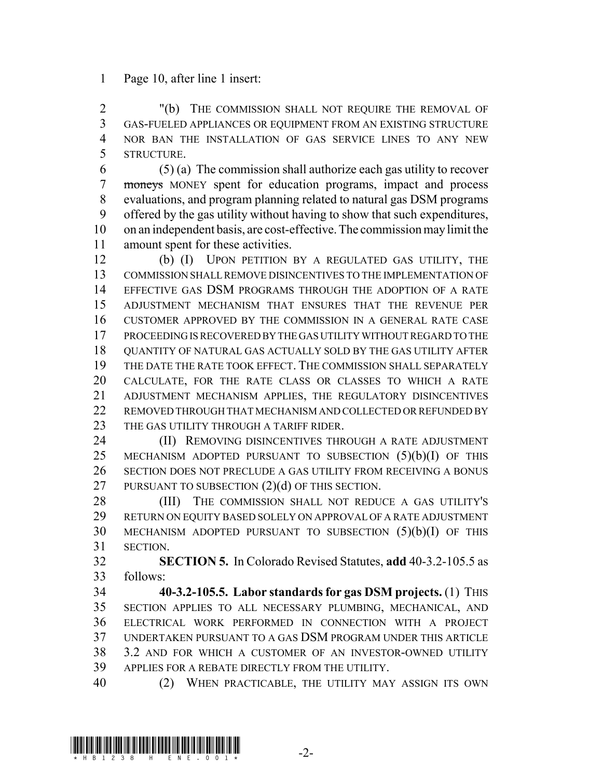Page 10, after line 1 insert:

 "(b) THE COMMISSION SHALL NOT REQUIRE THE REMOVAL OF GAS-FUELED APPLIANCES OR EQUIPMENT FROM AN EXISTING STRUCTURE NOR BAN THE INSTALLATION OF GAS SERVICE LINES TO ANY NEW STRUCTURE.

 $6 \qquad (5)$  (a) The commission shall authorize each gas utility to recover moneys MONEY spent for education programs, impact and process evaluations, and program planning related to natural gas DSM programs offered by the gas utility without having to show that such expenditures, on an independent basis, are cost-effective. The commission may limit the amount spent for these activities.

 (b) (I) UPON PETITION BY A REGULATED GAS UTILITY, THE COMMISSION SHALL REMOVE DISINCENTIVES TO THE IMPLEMENTATION OF EFFECTIVE GAS DSM PROGRAMS THROUGH THE ADOPTION OF A RATE ADJUSTMENT MECHANISM THAT ENSURES THAT THE REVENUE PER CUSTOMER APPROVED BY THE COMMISSION IN A GENERAL RATE CASE PROCEEDING IS RECOVERED BY THE GAS UTILITY WITHOUT REGARD TO THE QUANTITY OF NATURAL GAS ACTUALLY SOLD BY THE GAS UTILITY AFTER THE DATE THE RATE TOOK EFFECT. THE COMMISSION SHALL SEPARATELY CALCULATE, FOR THE RATE CLASS OR CLASSES TO WHICH A RATE ADJUSTMENT MECHANISM APPLIES, THE REGULATORY DISINCENTIVES 22 REMOVED THROUGH THAT MECHANISM AND COLLECTED OR REFUNDED BY 23 THE GAS UTILITY THROUGH A TARIFF RIDER.

**(II) REMOVING DISINCENTIVES THROUGH A RATE ADJUSTMENT**  MECHANISM ADOPTED PURSUANT TO SUBSECTION (5)(b)(I) OF THIS SECTION DOES NOT PRECLUDE A GAS UTILITY FROM RECEIVING A BONUS 27 PURSUANT TO SUBSECTION (2)(d) OF THIS SECTION.

28 (III) THE COMMISSION SHALL NOT REDUCE A GAS UTILITY'S RETURN ON EQUITY BASED SOLELY ON APPROVAL OF A RATE ADJUSTMENT MECHANISM ADOPTED PURSUANT TO SUBSECTION (5)(b)(I) OF THIS SECTION.

 **SECTION 5.** In Colorado Revised Statutes, **add** 40-3.2-105.5 as follows:

 **40-3.2-105.5. Labor standards for gas DSM projects.** (1) THIS SECTION APPLIES TO ALL NECESSARY PLUMBING, MECHANICAL, AND ELECTRICAL WORK PERFORMED IN CONNECTION WITH A PROJECT UNDERTAKEN PURSUANT TO A GAS DSM PROGRAM UNDER THIS ARTICLE 3.2 AND FOR WHICH A CUSTOMER OF AN INVESTOR-OWNED UTILITY APPLIES FOR A REBATE DIRECTLY FROM THE UTILITY.

(2) WHEN PRACTICABLE, THE UTILITY MAY ASSIGN ITS OWN

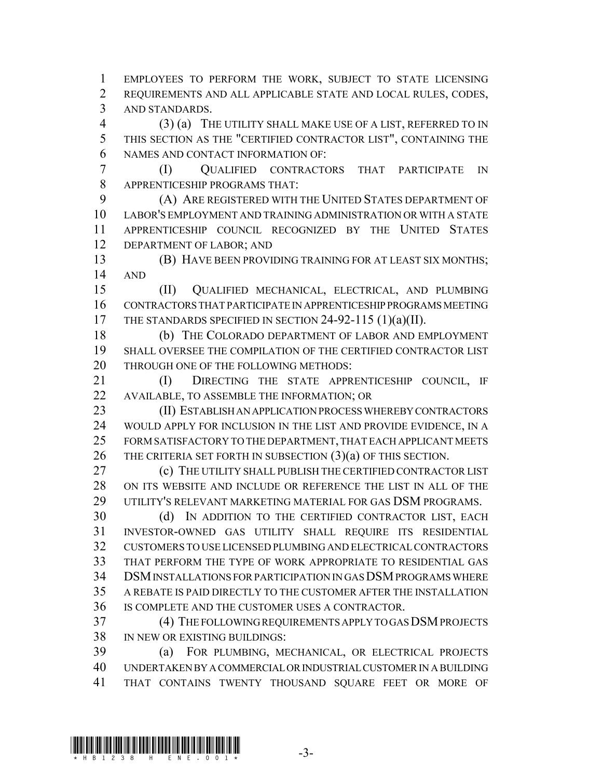EMPLOYEES TO PERFORM THE WORK, SUBJECT TO STATE LICENSING REQUIREMENTS AND ALL APPLICABLE STATE AND LOCAL RULES, CODES, AND STANDARDS.

 (3) (a) THE UTILITY SHALL MAKE USE OF A LIST, REFERRED TO IN THIS SECTION AS THE "CERTIFIED CONTRACTOR LIST", CONTAINING THE NAMES AND CONTACT INFORMATION OF:

 (I) QUALIFIED CONTRACTORS THAT PARTICIPATE IN APPRENTICESHIP PROGRAMS THAT:

 (A) ARE REGISTERED WITH THE UNITED STATES DEPARTMENT OF LABOR'S EMPLOYMENT AND TRAINING ADMINISTRATION OR WITH A STATE APPRENTICESHIP COUNCIL RECOGNIZED BY THE UNITED STATES DEPARTMENT OF LABOR; AND

 (B) HAVE BEEN PROVIDING TRAINING FOR AT LEAST SIX MONTHS; AND

 (II) QUALIFIED MECHANICAL, ELECTRICAL, AND PLUMBING CONTRACTORS THAT PARTICIPATE IN APPRENTICESHIP PROGRAMS MEETING THE STANDARDS SPECIFIED IN SECTION 24-92-115 (1)(a)(II).

 (b) THE COLORADO DEPARTMENT OF LABOR AND EMPLOYMENT SHALL OVERSEE THE COMPILATION OF THE CERTIFIED CONTRACTOR LIST THROUGH ONE OF THE FOLLOWING METHODS:

 (I) DIRECTING THE STATE APPRENTICESHIP COUNCIL, IF AVAILABLE, TO ASSEMBLE THE INFORMATION; OR

 (II) ESTABLISH AN APPLICATION PROCESS WHEREBY CONTRACTORS 24 WOULD APPLY FOR INCLUSION IN THE LIST AND PROVIDE EVIDENCE, IN A FORM SATISFACTORY TO THE DEPARTMENT, THAT EACH APPLICANT MEETS 26 THE CRITERIA SET FORTH IN SUBSECTION (3)(a) OF THIS SECTION.

 (c) THE UTILITY SHALL PUBLISH THE CERTIFIED CONTRACTOR LIST ON ITS WEBSITE AND INCLUDE OR REFERENCE THE LIST IN ALL OF THE UTILITY'S RELEVANT MARKETING MATERIAL FOR GAS DSM PROGRAMS.

 (d) IN ADDITION TO THE CERTIFIED CONTRACTOR LIST, EACH INVESTOR-OWNED GAS UTILITY SHALL REQUIRE ITS RESIDENTIAL CUSTOMERS TO USE LICENSED PLUMBING AND ELECTRICAL CONTRACTORS THAT PERFORM THE TYPE OF WORK APPROPRIATE TO RESIDENTIAL GAS DSM INSTALLATIONS FOR PARTICIPATION IN GAS DSM PROGRAMS WHERE A REBATE IS PAID DIRECTLY TO THE CUSTOMER AFTER THE INSTALLATION IS COMPLETE AND THE CUSTOMER USES A CONTRACTOR.

 (4) THE FOLLOWING REQUIREMENTS APPLY TO GAS DSM PROJECTS IN NEW OR EXISTING BUILDINGS:

 (a) FOR PLUMBING, MECHANICAL, OR ELECTRICAL PROJECTS UNDERTAKEN BY A COMMERCIAL OR INDUSTRIAL CUSTOMER IN A BUILDING THAT CONTAINS TWENTY THOUSAND SQUARE FEET OR MORE OF

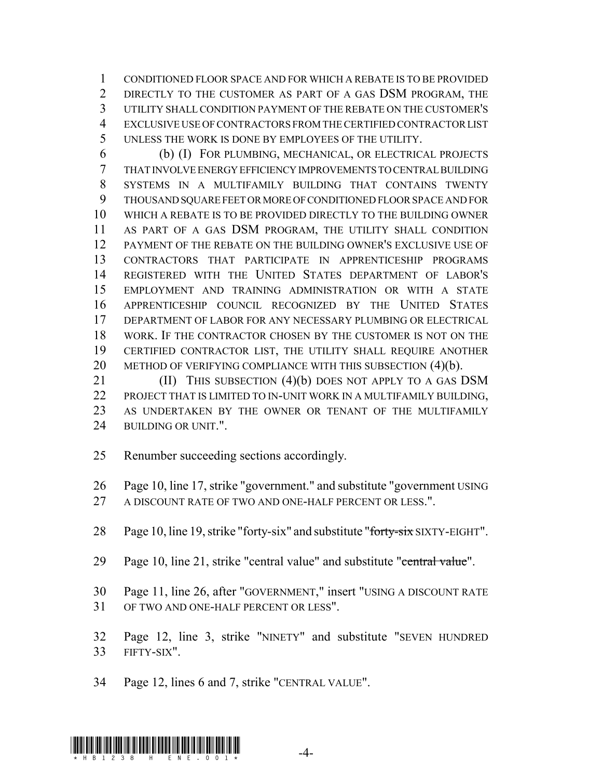CONDITIONED FLOOR SPACE AND FOR WHICH A REBATE IS TO BE PROVIDED DIRECTLY TO THE CUSTOMER AS PART OF A GAS DSM PROGRAM, THE UTILITY SHALL CONDITION PAYMENT OF THE REBATE ON THE CUSTOMER'S EXCLUSIVE USE OF CONTRACTORS FROM THE CERTIFIED CONTRACTOR LIST UNLESS THE WORK IS DONE BY EMPLOYEES OF THE UTILITY.

 (b) (I) FOR PLUMBING, MECHANICAL, OR ELECTRICAL PROJECTS THAT INVOLVE ENERGY EFFICIENCY IMPROVEMENTS TO CENTRAL BUILDING SYSTEMS IN A MULTIFAMILY BUILDING THAT CONTAINS TWENTY THOUSAND SQUARE FEET OR MORE OF CONDITIONED FLOOR SPACE AND FOR WHICH A REBATE IS TO BE PROVIDED DIRECTLY TO THE BUILDING OWNER AS PART OF A GAS DSM PROGRAM, THE UTILITY SHALL CONDITION PAYMENT OF THE REBATE ON THE BUILDING OWNER'S EXCLUSIVE USE OF CONTRACTORS THAT PARTICIPATE IN APPRENTICESHIP PROGRAMS REGISTERED WITH THE UNITED STATES DEPARTMENT OF LABOR'S EMPLOYMENT AND TRAINING ADMINISTRATION OR WITH A STATE APPRENTICESHIP COUNCIL RECOGNIZED BY THE UNITED STATES DEPARTMENT OF LABOR FOR ANY NECESSARY PLUMBING OR ELECTRICAL WORK. IF THE CONTRACTOR CHOSEN BY THE CUSTOMER IS NOT ON THE CERTIFIED CONTRACTOR LIST, THE UTILITY SHALL REQUIRE ANOTHER 20 METHOD OF VERIFYING COMPLIANCE WITH THIS SUBSECTION (4)(b).

**(II)** THIS SUBSECTION (4)(b) DOES NOT APPLY TO A GAS DSM 22 PROJECT THAT IS LIMITED TO IN-UNIT WORK IN A MULTIFAMILY BUILDING, AS UNDERTAKEN BY THE OWNER OR TENANT OF THE MULTIFAMILY 24 BUILDING OR UNIT."

Renumber succeeding sections accordingly.

Page 10, line 17, strike "government." and substitute "government USING

27 A DISCOUNT RATE OF TWO AND ONE-HALF PERCENT OR LESS.".

28 Page 10, line 19, strike "forty-six" and substitute "forty-six SIXTY-EIGHT".

29 Page 10, line 21, strike "central value" and substitute "central value".

 Page 11, line 26, after "GOVERNMENT," insert "USING A DISCOUNT RATE OF TWO AND ONE-HALF PERCENT OR LESS".

 Page 12, line 3, strike "NINETY" and substitute "SEVEN HUNDRED FIFTY-SIX".

Page 12, lines 6 and 7, strike "CENTRAL VALUE".